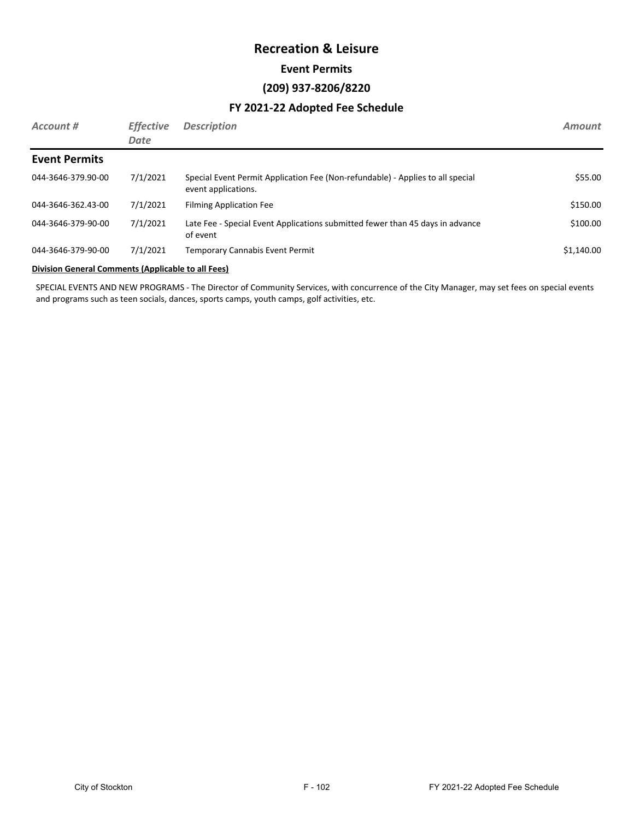#### **Event Permits**

#### **(209) 937-8206/8220**

### **FY 2021-22 Adopted Fee Schedule**

| Account #            | <b>Effective</b><br>Date | <b>Description</b>                                                                                    | <b>Amount</b> |
|----------------------|--------------------------|-------------------------------------------------------------------------------------------------------|---------------|
| <b>Event Permits</b> |                          |                                                                                                       |               |
| 044-3646-379.90-00   | 7/1/2021                 | Special Event Permit Application Fee (Non-refundable) - Applies to all special<br>event applications. | \$55.00       |
| 044-3646-362.43-00   | 7/1/2021                 | <b>Filming Application Fee</b>                                                                        | \$150.00      |
| 044-3646-379-90-00   | 7/1/2021                 | Late Fee - Special Event Applications submitted fewer than 45 days in advance<br>of event             | \$100.00      |
| 044-3646-379-90-00   | 7/1/2021                 | <b>Temporary Cannabis Event Permit</b>                                                                | \$1,140.00    |

#### **Division General Comments (Applicable to all Fees)**

SPECIAL EVENTS AND NEW PROGRAMS - The Director of Community Services, with concurrence of the City Manager, may set fees on special events and programs such as teen socials, dances, sports camps, youth camps, golf activities, etc.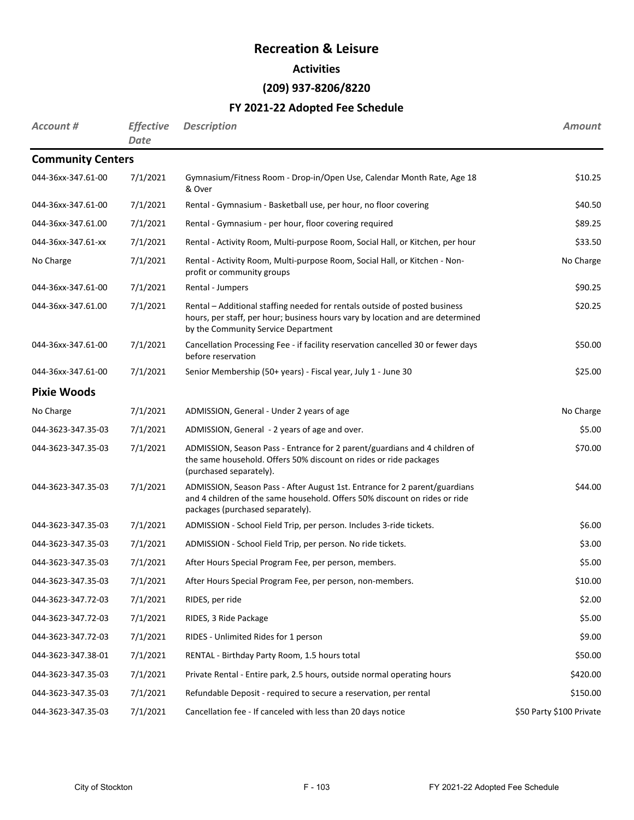#### **Activities**

## **(209) 937-8206/8220**

| <b>Account #</b>         | <b>Effective</b><br>Date | <b>Description</b>                                                                                                                                                                                  | <b>Amount</b>            |
|--------------------------|--------------------------|-----------------------------------------------------------------------------------------------------------------------------------------------------------------------------------------------------|--------------------------|
| <b>Community Centers</b> |                          |                                                                                                                                                                                                     |                          |
| 044-36xx-347.61-00       | 7/1/2021                 | Gymnasium/Fitness Room - Drop-in/Open Use, Calendar Month Rate, Age 18<br>& Over                                                                                                                    | \$10.25                  |
| 044-36xx-347.61-00       | 7/1/2021                 | Rental - Gymnasium - Basketball use, per hour, no floor covering                                                                                                                                    | \$40.50                  |
| 044-36xx-347.61.00       | 7/1/2021                 | Rental - Gymnasium - per hour, floor covering required                                                                                                                                              | \$89.25                  |
| 044-36xx-347.61-xx       | 7/1/2021                 | Rental - Activity Room, Multi-purpose Room, Social Hall, or Kitchen, per hour                                                                                                                       | \$33.50                  |
| No Charge                | 7/1/2021                 | Rental - Activity Room, Multi-purpose Room, Social Hall, or Kitchen - Non-<br>profit or community groups                                                                                            | No Charge                |
| 044-36xx-347.61-00       | 7/1/2021                 | Rental - Jumpers                                                                                                                                                                                    | \$90.25                  |
| 044-36xx-347.61.00       | 7/1/2021                 | Rental - Additional staffing needed for rentals outside of posted business<br>hours, per staff, per hour; business hours vary by location and are determined<br>by the Community Service Department | \$20.25                  |
| 044-36xx-347.61-00       | 7/1/2021                 | Cancellation Processing Fee - if facility reservation cancelled 30 or fewer days<br>before reservation                                                                                              | \$50.00                  |
| 044-36xx-347.61-00       | 7/1/2021                 | Senior Membership (50+ years) - Fiscal year, July 1 - June 30                                                                                                                                       | \$25.00                  |
| <b>Pixie Woods</b>       |                          |                                                                                                                                                                                                     |                          |
| No Charge                | 7/1/2021                 | ADMISSION, General - Under 2 years of age                                                                                                                                                           | No Charge                |
| 044-3623-347.35-03       | 7/1/2021                 | ADMISSION, General - 2 years of age and over.                                                                                                                                                       | \$5.00                   |
| 044-3623-347.35-03       | 7/1/2021                 | ADMISSION, Season Pass - Entrance for 2 parent/guardians and 4 children of<br>the same household. Offers 50% discount on rides or ride packages<br>(purchased separately).                          | \$70.00                  |
| 044-3623-347.35-03       | 7/1/2021                 | ADMISSION, Season Pass - After August 1st. Entrance for 2 parent/guardians<br>and 4 children of the same household. Offers 50% discount on rides or ride<br>packages (purchased separately).        | \$44.00                  |
| 044-3623-347.35-03       | 7/1/2021                 | ADMISSION - School Field Trip, per person. Includes 3-ride tickets.                                                                                                                                 | \$6.00                   |
| 044-3623-347.35-03       | 7/1/2021                 | ADMISSION - School Field Trip, per person. No ride tickets.                                                                                                                                         | \$3.00                   |
| 044-3623-347.35-03       | 7/1/2021                 | After Hours Special Program Fee, per person, members.                                                                                                                                               | \$5.00                   |
| 044-3623-347.35-03       | 7/1/2021                 | After Hours Special Program Fee, per person, non-members.                                                                                                                                           | \$10.00                  |
| 044-3623-347.72-03       | 7/1/2021                 | RIDES, per ride                                                                                                                                                                                     | \$2.00                   |
| 044-3623-347.72-03       | 7/1/2021                 | RIDES, 3 Ride Package                                                                                                                                                                               | \$5.00                   |
| 044-3623-347.72-03       | 7/1/2021                 | RIDES - Unlimited Rides for 1 person                                                                                                                                                                | \$9.00                   |
| 044-3623-347.38-01       | 7/1/2021                 | RENTAL - Birthday Party Room, 1.5 hours total                                                                                                                                                       | \$50.00                  |
| 044-3623-347.35-03       | 7/1/2021                 | Private Rental - Entire park, 2.5 hours, outside normal operating hours                                                                                                                             | \$420.00                 |
| 044-3623-347.35-03       | 7/1/2021                 | Refundable Deposit - required to secure a reservation, per rental                                                                                                                                   | \$150.00                 |
| 044-3623-347.35-03       | 7/1/2021                 | Cancellation fee - If canceled with less than 20 days notice                                                                                                                                        | \$50 Party \$100 Private |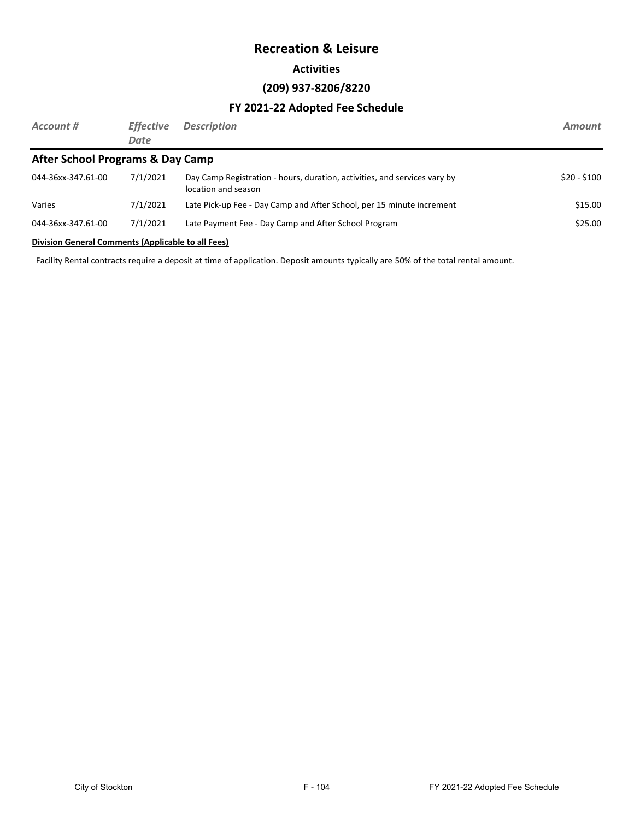#### **Activities**

#### **(209) 937-8206/8220**

### **FY 2021-22 Adopted Fee Schedule**

| $$20 - $100$ |
|--------------|
| \$15.00      |
| \$25.00      |
|              |

#### **Division General Comments (Applicable to all Fees)**

Facility Rental contracts require a deposit at time of application. Deposit amounts typically are 50% of the total rental amount.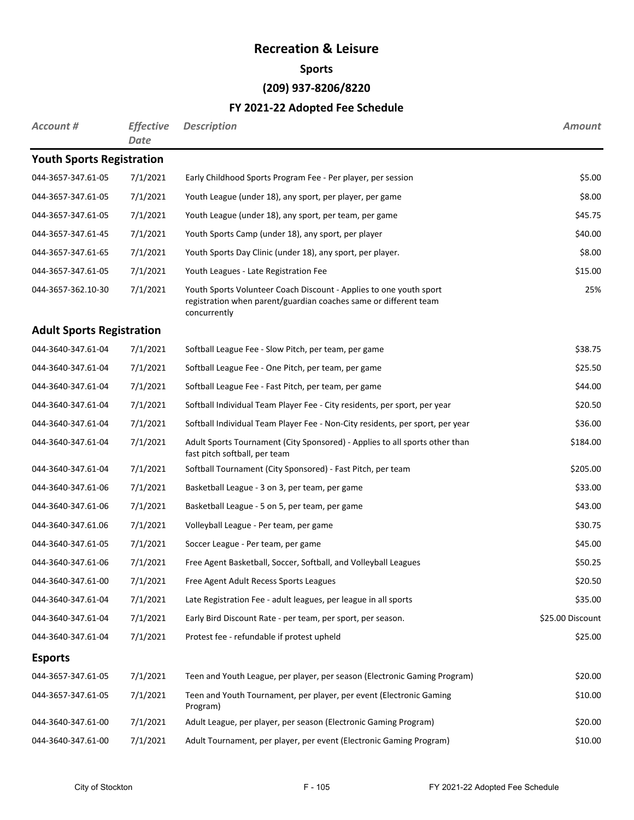### **Sports**

# **(209) 937-8206/8220**

| <b>Account #</b>                 | <b>Effective</b><br><b>Date</b> | <b>Description</b>                                                                                                                                     | <b>Amount</b>    |
|----------------------------------|---------------------------------|--------------------------------------------------------------------------------------------------------------------------------------------------------|------------------|
| <b>Youth Sports Registration</b> |                                 |                                                                                                                                                        |                  |
| 044-3657-347.61-05               | 7/1/2021                        | Early Childhood Sports Program Fee - Per player, per session                                                                                           | \$5.00           |
| 044-3657-347.61-05               | 7/1/2021                        | Youth League (under 18), any sport, per player, per game                                                                                               | \$8.00           |
| 044-3657-347.61-05               | 7/1/2021                        | Youth League (under 18), any sport, per team, per game                                                                                                 | \$45.75          |
| 044-3657-347.61-45               | 7/1/2021                        | Youth Sports Camp (under 18), any sport, per player                                                                                                    | \$40.00          |
| 044-3657-347.61-65               | 7/1/2021                        | Youth Sports Day Clinic (under 18), any sport, per player.                                                                                             | \$8.00           |
| 044-3657-347.61-05               | 7/1/2021                        | Youth Leagues - Late Registration Fee                                                                                                                  | \$15.00          |
| 044-3657-362.10-30               | 7/1/2021                        | Youth Sports Volunteer Coach Discount - Applies to one youth sport<br>registration when parent/guardian coaches same or different team<br>concurrently | 25%              |
| <b>Adult Sports Registration</b> |                                 |                                                                                                                                                        |                  |
| 044-3640-347.61-04               | 7/1/2021                        | Softball League Fee - Slow Pitch, per team, per game                                                                                                   | \$38.75          |
| 044-3640-347.61-04               | 7/1/2021                        | Softball League Fee - One Pitch, per team, per game                                                                                                    | \$25.50          |
| 044-3640-347.61-04               | 7/1/2021                        | Softball League Fee - Fast Pitch, per team, per game                                                                                                   | \$44.00          |
| 044-3640-347.61-04               | 7/1/2021                        | Softball Individual Team Player Fee - City residents, per sport, per year                                                                              | \$20.50          |
| 044-3640-347.61-04               | 7/1/2021                        | Softball Individual Team Player Fee - Non-City residents, per sport, per year                                                                          | \$36.00          |
| 044-3640-347.61-04               | 7/1/2021                        | Adult Sports Tournament (City Sponsored) - Applies to all sports other than<br>fast pitch softball, per team                                           | \$184.00         |
| 044-3640-347.61-04               | 7/1/2021                        | Softball Tournament (City Sponsored) - Fast Pitch, per team                                                                                            | \$205.00         |
| 044-3640-347.61-06               | 7/1/2021                        | Basketball League - 3 on 3, per team, per game                                                                                                         | \$33.00          |
| 044-3640-347.61-06               | 7/1/2021                        | Basketball League - 5 on 5, per team, per game                                                                                                         | \$43.00          |
| 044-3640-347.61.06               | 7/1/2021                        | Volleyball League - Per team, per game                                                                                                                 | \$30.75          |
| 044-3640-347.61-05               | 7/1/2021                        | Soccer League - Per team, per game                                                                                                                     | \$45.00          |
| 044-3640-347.61-06               | 7/1/2021                        | Free Agent Basketball, Soccer, Softball, and Volleyball Leagues                                                                                        | \$50.25          |
| 044-3640-347.61-00               | 7/1/2021                        | Free Agent Adult Recess Sports Leagues                                                                                                                 | \$20.50          |
| 044-3640-347.61-04               | 7/1/2021                        | Late Registration Fee - adult leagues, per league in all sports                                                                                        | \$35.00          |
| 044-3640-347.61-04               | 7/1/2021                        | Early Bird Discount Rate - per team, per sport, per season.                                                                                            | \$25.00 Discount |
| 044-3640-347.61-04               | 7/1/2021                        | Protest fee - refundable if protest upheld                                                                                                             | \$25.00          |
| <b>Esports</b>                   |                                 |                                                                                                                                                        |                  |
| 044-3657-347.61-05               | 7/1/2021                        | Teen and Youth League, per player, per season (Electronic Gaming Program)                                                                              | \$20.00          |
| 044-3657-347.61-05               | 7/1/2021                        | Teen and Youth Tournament, per player, per event (Electronic Gaming<br>Program)                                                                        | \$10.00          |
| 044-3640-347.61-00               | 7/1/2021                        | Adult League, per player, per season (Electronic Gaming Program)                                                                                       | \$20.00          |
| 044-3640-347.61-00               | 7/1/2021                        | Adult Tournament, per player, per event (Electronic Gaming Program)                                                                                    | \$10.00          |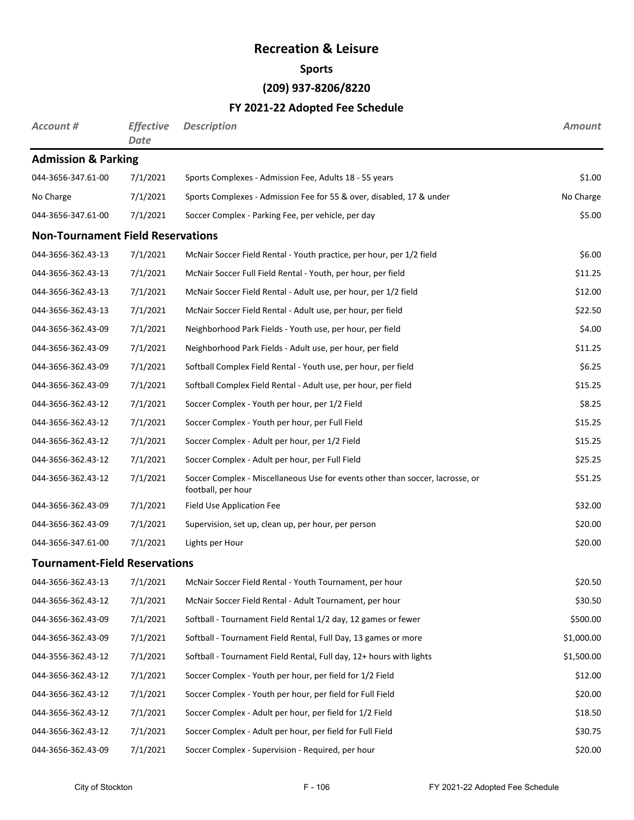### **Sports**

# **(209) 937-8206/8220**

| Account #                                | <b>Effective</b><br><b>Date</b> | <b>Description</b>                                                                                  | <b>Amount</b> |
|------------------------------------------|---------------------------------|-----------------------------------------------------------------------------------------------------|---------------|
| <b>Admission &amp; Parking</b>           |                                 |                                                                                                     |               |
| 044-3656-347.61-00                       | 7/1/2021                        | Sports Complexes - Admission Fee, Adults 18 - 55 years                                              | \$1.00        |
| No Charge                                | 7/1/2021                        | Sports Complexes - Admission Fee for 55 & over, disabled, 17 & under                                | No Charge     |
| 044-3656-347.61-00                       | 7/1/2021                        | Soccer Complex - Parking Fee, per vehicle, per day                                                  | \$5.00        |
| <b>Non-Tournament Field Reservations</b> |                                 |                                                                                                     |               |
| 044-3656-362.43-13                       | 7/1/2021                        | McNair Soccer Field Rental - Youth practice, per hour, per 1/2 field                                | \$6.00        |
| 044-3656-362.43-13                       | 7/1/2021                        | McNair Soccer Full Field Rental - Youth, per hour, per field                                        | \$11.25       |
| 044-3656-362.43-13                       | 7/1/2021                        | McNair Soccer Field Rental - Adult use, per hour, per 1/2 field                                     | \$12.00       |
| 044-3656-362.43-13                       | 7/1/2021                        | McNair Soccer Field Rental - Adult use, per hour, per field                                         | \$22.50       |
| 044-3656-362.43-09                       | 7/1/2021                        | Neighborhood Park Fields - Youth use, per hour, per field                                           | \$4.00        |
| 044-3656-362.43-09                       | 7/1/2021                        | Neighborhood Park Fields - Adult use, per hour, per field                                           | \$11.25       |
| 044-3656-362.43-09                       | 7/1/2021                        | Softball Complex Field Rental - Youth use, per hour, per field                                      | \$6.25        |
| 044-3656-362.43-09                       | 7/1/2021                        | Softball Complex Field Rental - Adult use, per hour, per field                                      | \$15.25       |
| 044-3656-362.43-12                       | 7/1/2021                        | Soccer Complex - Youth per hour, per 1/2 Field                                                      | \$8.25        |
| 044-3656-362.43-12                       | 7/1/2021                        | Soccer Complex - Youth per hour, per Full Field                                                     | \$15.25       |
| 044-3656-362.43-12                       | 7/1/2021                        | Soccer Complex - Adult per hour, per 1/2 Field                                                      | \$15.25       |
| 044-3656-362.43-12                       | 7/1/2021                        | Soccer Complex - Adult per hour, per Full Field                                                     | \$25.25       |
| 044-3656-362.43-12                       | 7/1/2021                        | Soccer Complex - Miscellaneous Use for events other than soccer, lacrosse, or<br>football, per hour | \$51.25       |
| 044-3656-362.43-09                       | 7/1/2021                        | Field Use Application Fee                                                                           | \$32.00       |
| 044-3656-362.43-09                       | 7/1/2021                        | Supervision, set up, clean up, per hour, per person                                                 | \$20.00       |
| 044-3656-347.61-00                       | 7/1/2021                        | Lights per Hour                                                                                     | \$20.00       |
| <b>Tournament-Field Reservations</b>     |                                 |                                                                                                     |               |
| 044-3656-362.43-13                       | 7/1/2021                        | McNair Soccer Field Rental - Youth Tournament, per hour                                             | \$20.50       |
| 044-3656-362.43-12                       | 7/1/2021                        | McNair Soccer Field Rental - Adult Tournament, per hour                                             | \$30.50       |
| 044-3656-362.43-09                       | 7/1/2021                        | Softball - Tournament Field Rental 1/2 day, 12 games or fewer                                       | \$500.00      |
| 044-3656-362.43-09                       | 7/1/2021                        | Softball - Tournament Field Rental, Full Day, 13 games or more                                      | \$1,000.00    |
| 044-3556-362.43-12                       | 7/1/2021                        | Softball - Tournament Field Rental, Full day, 12+ hours with lights                                 | \$1,500.00    |
| 044-3656-362.43-12                       | 7/1/2021                        | Soccer Complex - Youth per hour, per field for 1/2 Field                                            | \$12.00       |
| 044-3656-362.43-12                       | 7/1/2021                        | Soccer Complex - Youth per hour, per field for Full Field                                           | \$20.00       |
| 044-3656-362.43-12                       | 7/1/2021                        | Soccer Complex - Adult per hour, per field for 1/2 Field                                            | \$18.50       |
| 044-3656-362.43-12                       | 7/1/2021                        | Soccer Complex - Adult per hour, per field for Full Field                                           | \$30.75       |
| 044-3656-362.43-09                       | 7/1/2021                        | Soccer Complex - Supervision - Required, per hour                                                   | \$20.00       |